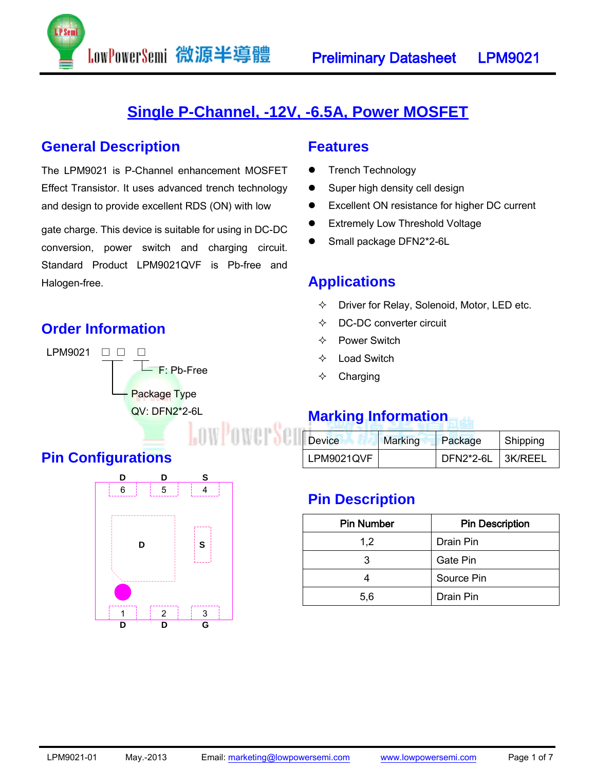

## **Single P-Channel, -12V, -6.5A, Power MOSFET**

#### **General Description**

The LPM9021 is P-Channel enhancement MOSFET Effect Transistor. It uses advanced trench technology and design to provide excellent RDS (ON) with low

LowPowerSemi 微源半導體

gate charge. This device is suitable for using in DC-DC conversion, power switch and charging circuit. Standard Product LPM9021QVF is Pb-free and Halogen-free.

#### **Order Information**

**Pin Configurations**



#### **Features**

- **•** Trench Technology
- Super high density cell design
- Excellent ON resistance for higher DC current
- **•** Extremely Low Threshold Voltage
- Small package DFN2\*2-6L

#### **Applications**

- $\Diamond$  Driver for Relay, Solenoid, Motor, LED etc.
- $\Diamond$  DC-DC converter circuit
- $\Leftrightarrow$  Power Switch
- Load Switch
- $\Leftrightarrow$  Charging

## **Marking Information**

| Device     | Marking | Package   | Shipping       |
|------------|---------|-----------|----------------|
| LPM9021QVF |         | DFN2*2-6L | <b>SK/REEL</b> |

## **Pin Description**

| <b>Pin Number</b> | <b>Pin Description</b> |  |  |
|-------------------|------------------------|--|--|
| 1,2               | Drain Pin              |  |  |
|                   | Gate Pin               |  |  |
|                   | Source Pin             |  |  |
| 5,6               | Drain Pin              |  |  |

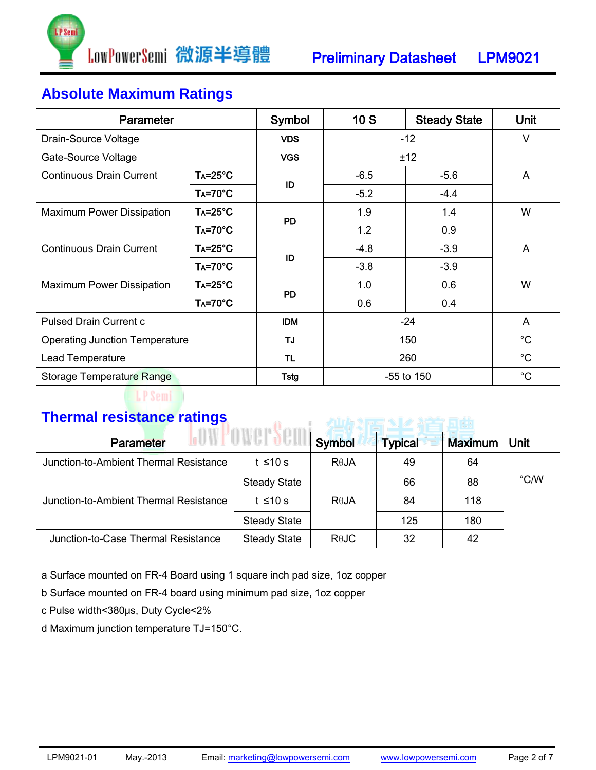

## **Absolute Maximum Ratings**

| <b>Parameter</b>                                                  |                  | Symbol      | 10S          | <b>Steady State</b> | <b>Unit</b>  |
|-------------------------------------------------------------------|------------------|-------------|--------------|---------------------|--------------|
| Drain-Source Voltage                                              |                  | <b>VDS</b>  | $-12$        |                     | V            |
| Gate-Source Voltage                                               |                  | <b>VGS</b>  | ±12          |                     |              |
| <b>Continuous Drain Current</b>                                   | $Ta=25^{\circ}C$ |             | $-6.5$       | $-5.6$              | A            |
| $Ta=70^{\circ}C$                                                  |                  | ID          | $-5.2$       | $-4.4$              |              |
| Maximum Power Dissipation                                         | $Ta=25^{\circ}C$ | <b>PD</b>   | 1.9          | 1.4                 | W            |
|                                                                   | $Ta=70^{\circ}C$ |             | 1.2          | 0.9                 |              |
| <b>Continuous Drain Current</b>                                   | $Ta=25^{\circ}C$ |             | $-4.8$       | $-3.9$              | A            |
|                                                                   | $Ta=70^{\circ}C$ | ID          | $-3.8$       | $-3.9$              |              |
| $Ta=25^{\circ}C$<br>Maximum Power Dissipation<br>$Ta=70^{\circ}C$ |                  | <b>PD</b>   | 1.0          | 0.6                 | W            |
|                                                                   |                  |             | 0.6          | 0.4                 |              |
| <b>Pulsed Drain Current c</b>                                     | <b>IDM</b>       | $-24$       |              | A                   |              |
| <b>Operating Junction Temperature</b>                             |                  | TJ          | 150          |                     | $^{\circ}$ C |
| Lead Temperature                                                  | TL               | 260         |              | $^{\circ}C$         |              |
| <b>Storage Temperature Range</b>                                  |                  | <b>Tstg</b> | $-55$ to 150 |                     | $^{\circ}C$  |

## **LP** Semi

## **Thermal resistance ratings**

## **使配置 斗台 1曲**

| Parameter                              |                     | Symbol       | <b>Typical</b> | <b>Maximum</b> | Unit          |
|----------------------------------------|---------------------|--------------|----------------|----------------|---------------|
| Junction-to-Ambient Thermal Resistance | t ≤10 s             | $R\theta$ JA | 49             | 64             |               |
|                                        | <b>Steady State</b> |              | 66             | 88             | $\degree$ C/W |
| Junction-to-Ambient Thermal Resistance | t ≤10 s             | $R\theta$ JA | 84             | 118            |               |
|                                        | <b>Steady State</b> |              | 125            | 180            |               |
| Junction-to-Case Thermal Resistance    | <b>Steady State</b> | $R\theta$ JC | 32             | 42             |               |

 $0 \text{ and}$ 

a Surface mounted on FR-4 Board using 1 square inch pad size, 1oz copper

b Surface mounted on FR-4 board using minimum pad size, 1oz copper

c Pulse width<380μs, Duty Cycle<2%

d Maximum junction temperature TJ=150°C.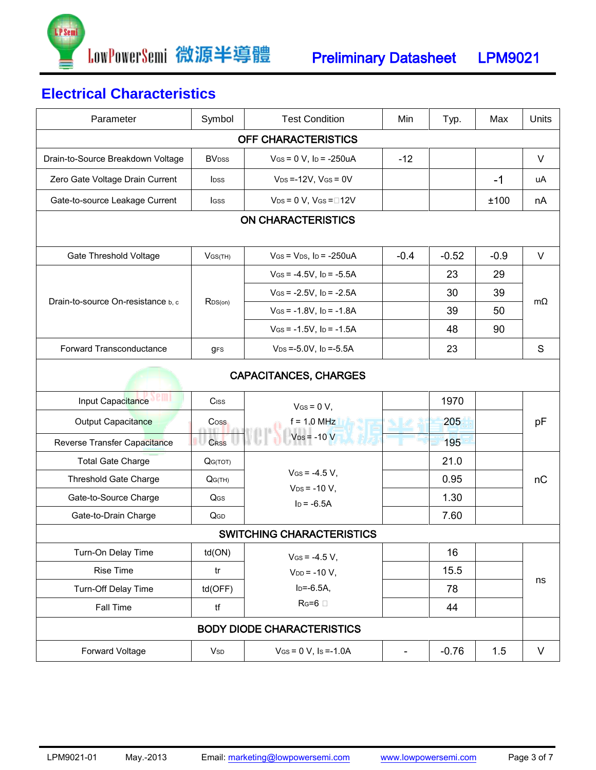

## **Electrical Characteristics**

| Parameter                          | <b>Test Condition</b><br>Symbol |                                           | Min                      | Typ.    | Max    | Units       |  |
|------------------------------------|---------------------------------|-------------------------------------------|--------------------------|---------|--------|-------------|--|
| OFF CHARACTERISTICS                |                                 |                                           |                          |         |        |             |  |
| Drain-to-Source Breakdown Voltage  | <b>BV</b> <sub>DSS</sub>        | $V$ GS = 0 V, $I_D$ = -250uA              | $-12$                    |         |        | V           |  |
| Zero Gate Voltage Drain Current    | <b>I</b> <sub>DSS</sub>         | $V_{DS} = -12V$ , $V_{GS} = 0V$           |                          |         | $-1$   | uA          |  |
| Gate-to-source Leakage Current     | <b>I</b> GSS                    | $V_{DS} = 0 V$ , $V_{GS} = \Box 12V$      |                          |         | ±100   | nA          |  |
| <b>ON CHARACTERISTICS</b>          |                                 |                                           |                          |         |        |             |  |
|                                    |                                 |                                           |                          |         |        |             |  |
| Gate Threshold Voltage             | $V$ GS(TH)                      | $V$ GS = $V$ DS, ID = -250uA              | $-0.4$                   | $-0.52$ | $-0.9$ | V           |  |
|                                    | RDS(on)                         | $V$ GS = -4.5V, ID = -5.5A                |                          | 23      | 29     | $m\Omega$   |  |
| Drain-to-source On-resistance b, c |                                 | $V$ GS = -2.5V, ID = -2.5A                |                          | 30      | 39     |             |  |
|                                    |                                 | $V$ GS = -1.8V, ID = -1.8A                |                          | 39      | 50     |             |  |
|                                    |                                 | $V$ GS = -1.5V, ID = -1.5A                |                          | 48      | 90     |             |  |
| Forward Transconductance           | <b>gFS</b>                      | $V_{DS} = -5.0V$ , I <sub>D</sub> = -5.5A |                          | 23      |        | $\mathbf S$ |  |
| <b>CAPACITANCES, CHARGES</b>       |                                 |                                           |                          |         |        |             |  |
|                                    |                                 |                                           |                          |         |        |             |  |
| Input Capacitance                  | Ciss                            | $V$ Gs = 0 V,                             |                          | 1970    |        |             |  |
| Output Capacitance                 | Coss                            | $f = 1.0$ MHz                             |                          | 205     |        | pF          |  |
| Reverse Transfer Capacitance       | <b>CRSS</b>                     | $V_{DS}$ = -10 V                          |                          | 195     |        |             |  |
| <b>Total Gate Charge</b>           | QG(TOT)                         |                                           |                          | 21.0    |        |             |  |
| <b>Threshold Gate Charge</b>       | QG(TH)                          | $V$ GS = -4.5 V,<br>$V_{DS} = -10 V,$     |                          | 0.95    |        | nC          |  |
| Gate-to-Source Charge              | Q <sub>GS</sub>                 | $I_D = -6.5A$                             |                          | 1.30    |        |             |  |
| Gate-to-Drain Charge               | QGD                             |                                           |                          | 7.60    |        |             |  |
| <b>SWITCHING CHARACTERISTICS</b>   |                                 |                                           |                          |         |        |             |  |
| Turn-On Delay Time                 | td(ON)                          | $V$ <sub>GS</sub> = -4.5 V,               |                          | 16      |        |             |  |
| <b>Rise Time</b>                   | tr                              | $V_{DD} = -10 V,$                         |                          | 15.5    |        |             |  |
| Turn-Off Delay Time                | td(OFF)                         | $I_{D} = -6.5A,$                          |                          | 78      |        | ns          |  |
| <b>Fall Time</b>                   | tf                              | $R$ G=6 $\square$                         |                          | 44      |        |             |  |
| <b>BODY DIODE CHARACTERISTICS</b>  |                                 |                                           |                          |         |        |             |  |
| Forward Voltage                    | <b>V</b> sp                     | $V$ Gs = 0 V, Is = -1.0A                  | $\overline{\phantom{a}}$ | $-0.76$ | 1.5    | V           |  |
|                                    |                                 |                                           |                          |         |        |             |  |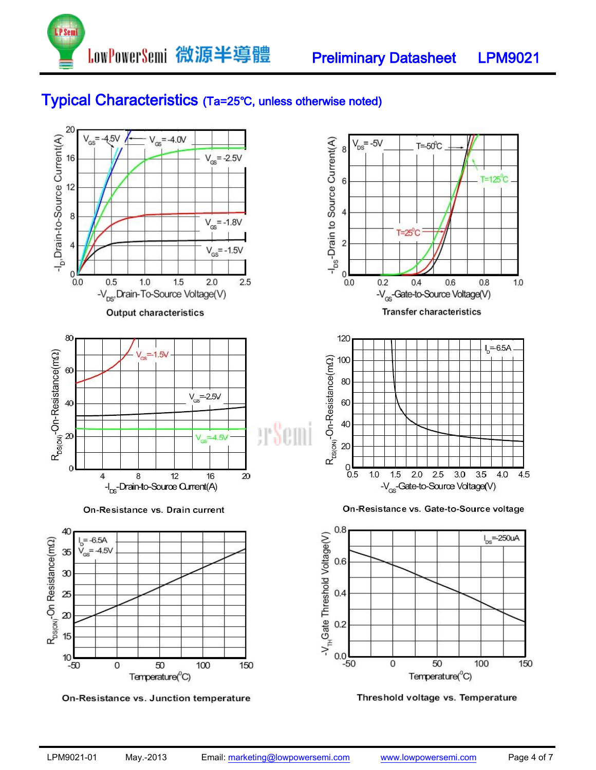





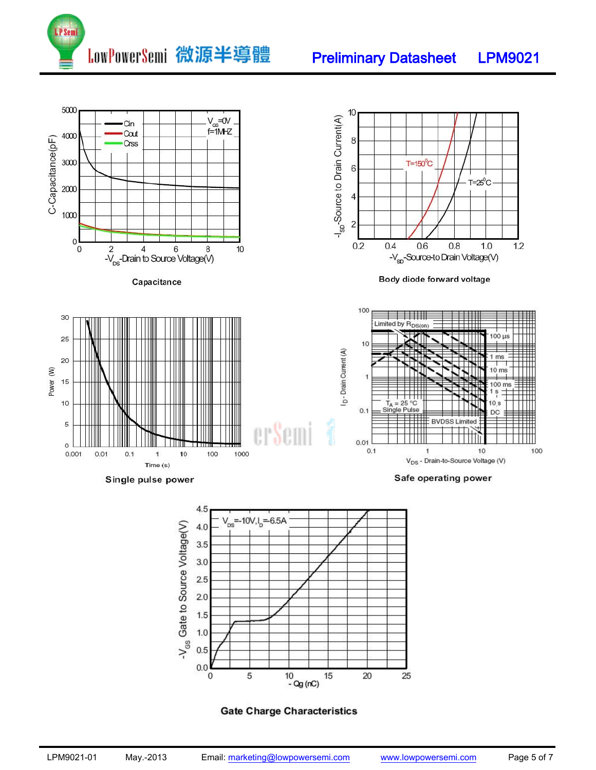





**Gate Charge Characteristics**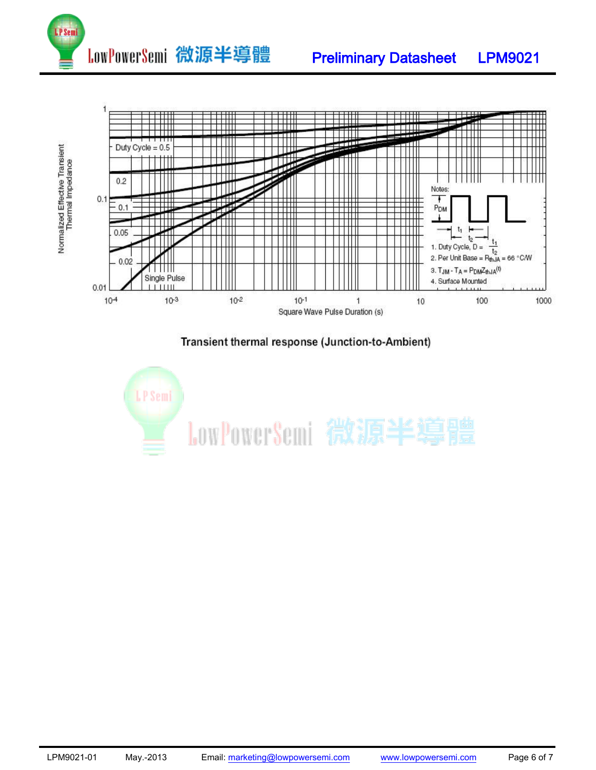



Transient thermal response (Junction-to-Ambient)